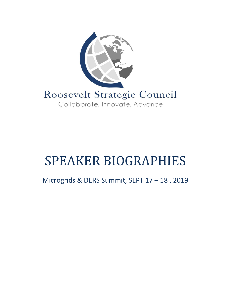

# SPEAKER BIOGRAPHIES

# Microgrids & DERS Summit, SEPT 17 – 18 , 2019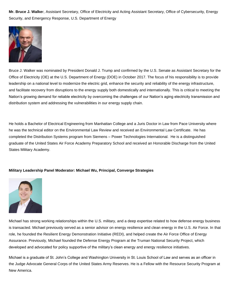**Mr. Bruce J. Walke**r, Assistant Secretary, Office of Electricity and Acting Assistant Secretary, Office of Cybersecurity, Energy Security, and Emergency Response, U.S. Department of Energy



Bruce J. Walker was nominated by President Donald J. Trump and confirmed by the U.S. Senate as Assistant Secretary for the Office of Electricity (OE) at the U.S. Department of Energy (DOE) in October 2017. The focus of his responsibility is to provide leadership on a national level to modernize the electric grid, enhance the security and reliability of the energy infrastructure, and facilitate recovery from disruptions to the energy supply both domestically and internationally. This is critical to meeting the Nation's growing demand for reliable electricity by overcoming the challenges of our Nation's aging electricity transmission and distribution system and addressing the vulnerabilities in our energy supply chain.

He holds a Bachelor of Electrical Engineering from Manhattan College and a Juris Doctor in Law from Pace University where he was the technical editor on the Environmental Law Review and received an Environmental Law Certificate. He has completed the Distribution Systems program from Siemens – Power Technologies International. He is a distinguished graduate of the United States Air Force Academy Preparatory School and received an Honorable Discharge from the United States Military Academy.

#### **Military Leadership Panel Moderator: Michael Wu, Principal, Converge Strategies**



Michael has strong working relationships within the U.S. military, and a deep expertise related to how defense energy business is transacted. Michael previously served as a senior advisor on energy resilience and clean energy in the U.S. Air Force. In that role, he founded the Resilient Energy Demonstration Initiative (REDI), and helped create the Air Force Office of Energy Assurance. Previously, Michael founded the Defense Energy Program at the Truman National Security Project, which developed and advocated for policy supportive of the military's clean energy and energy resilience initiatives.

Michael is a graduate of St. John's College and Washington University in St. Louis School of Law and serves as an officer in the Judge Advocate General Corps of the United States Army Reserves. He is a Fellow with the Resource Security Program at New America.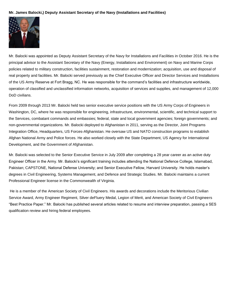# **Mr. James Balocki,) Deputy Assistant Secretary of the Navy (Installations and Facilities)**



Mr. Balocki was appointed as Deputy Assistant Secretary of the Navy for Installations and Facilities in October 2016. He is the principal advisor to the Assistant Secretary of the Navy (Energy, Installations and Environment) on Navy and Marine Corps policies related to military construction, facilities sustainment, restoration and modernization; acquisition, use and disposal of real property and facilities. Mr. Balocki served previously as the Chief Executive Officer and Director Services and Installations of the US Army Reserve at Fort Bragg, NC. He was responsible for the command's facilities and infrastructure worldwide, operation of classified and unclassified information networks, acquisition of services and supplies, and management of 12,000 DoD civilians.

From 2009 through 2013 Mr. Balocki held two senior executive service positions with the US Army Corps of Engineers in Washington, DC, where he was responsible for engineering, infrastructure, environmental, scientific, and technical support to the Services, combatant commands and embassies; federal, state and local government agencies; foreign governments; and non-governmental organizations. Mr. Balocki deployed to Afghanistan in 2011, serving as the Director, Joint Programs Integration Office, Headquarters, US Forces-Afghanistan. He oversaw US and NATO construction programs to establish Afghan National Army and Police forces. He also worked closely with the State Department, US Agency for International Development, and the Government of Afghanistan.

Mr. Balocki was selected to the Senior Executive Service in July 2009 after completing a 28 year career as an active duty Engineer Officer in the Army. Mr. Balocki's significant training includes attending the National Defence College, Islamabad, Pakistan; CAPSTONE, National Defense University; and Senior Executive Fellow, Harvard University. He holds master's degrees in Civil Engineering, Systems Management, and Defence and Strategic Studies. Mr. Balocki maintains a current Professional Engineer license in the Commonwealth of Virginia.

He is a member of the American Society of Civil Engineers. His awards and decorations include the Meritorious Civilian Service Award, Army Engineer Regiment, Silver deFluery Medal, Legion of Merit, and American Society of Civil Engineers "Best Practice Paper." Mr. Balocki has published several articles related to resume and interview preparation, passing a SES qualification review and hiring federal employees.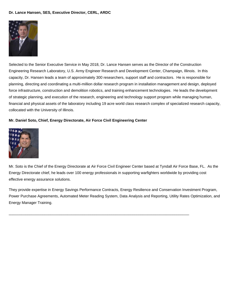# **Dr. Lance Hansen, SES, Executive Director, CERL, ARDC**



Selected to the Senior Executive Service in May 2018, Dr. Lance Hansen serves as the Director of the Construction Engineering Research Laboratory, U.S. Army Engineer Research and Development Center, Champaign, Illinois. In this capacity, Dr. Hansen leads a team of approximately 300 researchers, support staff and contractors. He is responsible for planning, directing and coordinating a multi-million dollar research program in installation management and design, deployed force infrastructure, construction and demolition robotics, and training enhancement technologies. He leads the development of strategic planning, and execution of the research, engineering and technology support program while managing human, financial and physical assets of the laboratory including 19 acre world class research complex of specialized research capacity, collocated with the University of Illinois.

# **Mr. Daniel Soto, Chief, Energy Directorate, Air Force Civil Engineering Center**



Mr. Soto is the Chief of the Energy Directorate at Air Force Civil Engineer Center based at Tyndall Air Force Base, FL. As the Energy Directorate chief, he leads over 100 energy professionals in supporting warfighters worldwide by providing cost effective energy assurance solutions.

They provide expertise in Energy Savings Performance Contracts, Energy Resilience and Conservation Investment Program, Power Purchase Agreements, Automated Meter Reading System, Data Analysis and Reporting, Utility Rates Optimization, and Energy Manager Training.

\_\_\_\_\_\_\_\_\_\_\_\_\_\_\_\_\_\_\_\_\_\_\_\_\_\_\_\_\_\_\_\_\_\_\_\_\_\_\_\_\_\_\_\_\_\_\_\_\_\_\_\_\_\_\_\_\_\_\_\_\_\_\_\_\_\_\_\_\_\_\_\_\_\_\_\_\_\_\_\_\_\_\_\_\_\_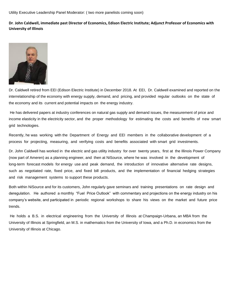Utility Executive Leadership Panel Moderator: ( two more panelists coming soon)

**Dr**. **John Caldwell, immediate past Director of Economics, Edison Electric Institute; Adjunct Professor of Economics with University of Illinois**



Dr. Caldwell retired from EEI (Edison Electric Institute) in December 2018. At EEI, Dr. Caldwell examined and reported on the interrelationship of the economy with energy supply, demand, and pricing, and provided regular outlooks on the state of the economy and its current and potential impacts on the energy industry.

He has delivered papers at industry conferences on natural gas supply and demand issues, the measurement of price and income elasticity in the electricity sector, and the proper methodology for estimating the costs and benefits of new smart grid technologies.

Recently, he was working with the Department of Energy and EEI members in the collaborative development of a process for projecting, measuring, and verifying costs and benefits associated with smart grid investments.

Dr. John Caldwell has worked in the electric and gas utility industry for over twenty years, first at the Illinois Power Company (now part of Ameren) as a planning engineer, and then at NiSource, where he was involved in the development of long-term forecast models for energy use and peak demand, the introduction of innovative alternative rate designs, such as negotiated rate, fixed price, and fixed bill products, and the implementation of financial hedging strategies and risk management systems to support these products.

Both within NiSource and for its customers, John regularly gave seminars and training presentations on rate design and deregulation. He authored a monthly "Fuel Price Outlook" with commentary and projections on the energy industry on his company's website, and participated in periodic regional workshops to share his views on the market and future price trends.

He holds a B.S. in electrical engineering from the University of Illinois at Champaign-Urbana, an MBA from the University of Illinois at Springfield, an M.S. in mathematics from the University of Iowa, and a Ph.D. in economics from the University of Illinois at Chicago.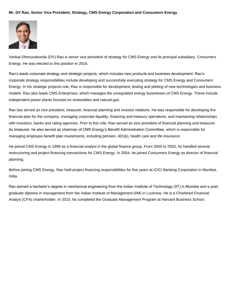# **Mr. DV Rao, Senior Vice President, Strategy, CMS Energy Corporation and Consumers Energy**



Venkat Dhenuvakonda (DV) Rao is senior vice president of strategy for CMS Energy and its principal subsidiary, Consumers Energy. He was elected to this position in 2016.

Rao's leads corporate strategy and strategic projects, which includes new products and business development. Rao's corporate strategy responsibilities include developing and successfully executing strategy for CMS Energy and Consumers Energy. In his strategic projects role, Rao is responsible for development, testing and piloting of new technologies and business models. Rao also leads CMS Enterprises, which manages the unregulated energy businesses of CMS Energy. These include independent power plants focused on renewables and natural gas.

Rao last served as vice president, treasurer, financial planning and investor relations. He was responsible for developing the financial plan for the company, managing corporate liquidity, financing and treasury operations, and maintaining relationships with investors, banks and rating agencies. Prior to this role, Rao served as vice president of financial planning and treasurer. As treasurer, he also served as chairman of CMS Energy's Benefit Administration Committee, which is responsible for managing employee benefit plan investments, including pension, 401(k), health care and life insurance.

He joined CMS Energy in 1999 as a financial analyst in the global finance group. From 2000 to 2003, he handled several restructuring and project financing transactions for CMS Energy. In 2004, he joined Consumers Energy as director of financial planning.

Before joining CMS Energy, Rao held project financing responsibilities for five years at ICICI Banking Corporation in Mumbai, India.

Rao earned a bachelor's degree in mechanical engineering from the Indian Institute of Technology (IIT) in Mumbai and a postgraduate diploma in management from the Indian Institute of Management (IIM) in Lucknow. He is a Chartered Financial Analyst (CFA) charterholder. In 2010, he completed the Graduate Management Program at Harvard Business School.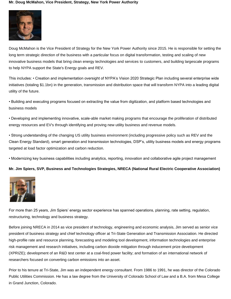#### **Mr. Doug McMahon, Vice President, Strategy, New York Power Authority**



Doug McMahon is the Vice President of Strategy for the New York Power Authority since 2015. He is responsible for setting the long term strategic direction of the business with a particular focus on digital transformation, testing and scaling of new innovative business models that bring clean energy technologies and services to customers, and building largescale programs to help NYPA support the State's Energy goals and REV.

This includes: • Creation and implementation oversight of NYPA's Vision 2020 Strategic Plan including several enterprise wide initiatives (totaling \$1.1bn) in the generation, transmission and distribution space that will transform NYPA into a leading digital utility of the future.

• Building and executing programs focused on extracting the value from digitization, and platform based technologies and business models

• Developing and implementing innovative, scale-able market making programs that encourage the proliferation of distributed energy resources and EV's through identifying and proving new utility business and revenue models.

• Strong understanding of the changing US utility business environment (including progressive policy such as REV and the Clean Energy Standard), smart generation and transmission technologies, DSP's, utility business models and energy programs targeted at load factor optimization and carbon reduction.

• Modernizing key business capabilities including analytics, reporting, innovation and collaborative agile project management

**Mr. Jim Spiers, SVP, Business and Technologies Strategies, NRECA (National Rural Electric Cooperative Association)**



For more than 25 years, Jim Spiers' energy sector experience has spanned operations, planning, rate setting, regulation, restructuring, technology and business strategy.

Before joining NRECA in 2014 as vice president of technology, engineering and economic analysis, Jim served as senior vice president of business strategy and chief technology officer at Tri-State Generation and Transmission Association. He directed high-profile rate and resource planning, forecasting and modeling tool development, information technologies and enterprise risk management and research initiatives, including carbon dioxide mitigation through inducement prize development (XPRIZE); development of an R&D test center at a coal-fired power facility; and formation of an international network of researchers focused on converting carbon emissions into an asset.

Prior to his tenure at Tri-State, Jim was an independent energy consultant. From 1986 to 1991, he was director of the Colorado Public Utilities Commission. He has a law degree from the University of Colorado School of Law and a B.A. from Mesa College in Grand Junction, Colorado.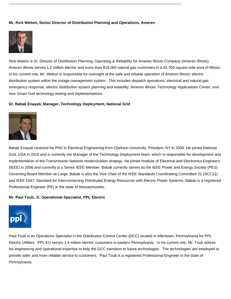# **Mr. Rick Welton, Senior Director of Distribution Planning and Operations, Ameren**

\_\_\_\_\_\_\_\_\_\_\_\_\_\_\_\_\_\_\_\_\_\_\_\_\_\_\_\_\_\_\_\_\_\_\_\_\_\_\_\_\_\_\_\_\_\_\_\_\_\_\_\_\_\_\_\_\_\_\_\_\_\_\_\_\_\_\_\_\_\_\_\_\_\_\_\_\_\_\_\_\_\_



Rick Welton is Sr. Director of Distribution Planning, Operating & Reliability for Ameren Illinois Company (Ameren Illinois). Ameren Illinois serves 1.2 million electric and more than 816,000 natural gas customers in a 43,700-square-mile area of Illinois. In his current role, Mr. Welton is responsible for oversight of the safe and reliable operation of Ameren Illinois' electric distribution system within the outage management system. This includes dispatch operations, electrical and natural gas emergency response, electric distribution system planning and reliability, Ameren Illinois' Technology Applications Center, and new Smart Grid technology testing and implementations.

#### **Dr. Babak Enayati, Manager, Technology Deployment, National Grid**



Babak Enayati received his PhD in Electrical Engineering from Clarkson University, Potsdam, NY in 2009. He joined National Grid, USA in 2010 and is currently the Manager of the Technology Deployment team, which is responsible for development and implementation of the Transmission Network modernization strategy. He joined Institute of Electrical and Electronics Engineers (IEEE) in 2006 and currently is a Senior IEEE Member. Babak currently serves as the IEEE Power and Energy Society (PES) Governing Board Member-at-Large. Babak is also the Vice Chair of the IEEE Standards Coordinating Committee 21 (SCC21) and IEEE 1547, Standard for Interconnecting Distributed Energy Resources with Electric Power Systems. Babak is a registered Professional Engineer (PE) in the state of Massachusetts.

#### **Mr. Paul Toub, Jr, Operational Specialist, PPL Electric**



Paul Toub is an Operations Specialist in the Distribution Control Center (DCC) located in Allentown, Pennsylvania for PPL Electric Utilities. PPL EU serves 1.4 million electric customers in eastern Pennsylvania. In his current role, Mr. Toub utilizes his engineering and operational expertise to help the DCC transition to future technologies. The technologies are employed to provide safer and more reliable service to customers. Paul Toub is a registered Professional Engineer in the state of Pennsylvania.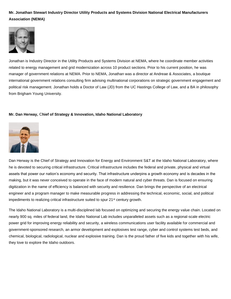# **Mr. Jonathan Stewart Industry Director Utility Products and Systems Division National Electrical Manufacturers Association (NEMA)**



Jonathan is Industry Director in the Utility Products and Systems Division at NEMA, where he coordinate member activities related to energy management and grid modernization across 10 product sections. Prior to his current position, he was manager of government relations at NEMA. Prior to NEMA, Jonathan was a director at Andreae & Associates, a boutique international government relations consulting firm advising multinational corporations on strategic government engagement and political risk management. Jonathan holds a Doctor of Law (JD) from the UC Hastings College of Law, and a BA in philosophy from Brigham Young University.

#### **Mr. Dan Herway, Chief of Strategy & Innovation, Idaho National Laboratory**



Dan Herway is the Chief of Strategy and Innovation for Energy and Environment S&T at the Idaho National Laboratory, where he is devoted to securing critical infrastructure. Critical infrastructure includes the federal and private, physical and virtual assets that power our nation's economy and security. That infrastructure underpins a growth economy and is decades in the making, but it was never conceived to operate in the face of modern natural and cyber threats. Dan is focused on ensuring digitization in the name of efficiency is balanced with security and resilience. Dan brings the perspective of an electrical engineer and a program manager to make measurable progress in addressing the technical, economic, social, and political impediments to realizing critical infrastructure suited to spur  $21<sup>st</sup>$  century growth.

The Idaho National Laboratory is a multi-disciplined lab focused on optimizing and securing the energy value chain. Located on nearly 900 sq. miles of federal land, the Idaho National Lab includes unparalleled assets such as a regional-scale electric power grid for improving energy reliability and security, a wireless communications user facility available for commercial and government-sponsored research, an armor development and explosives test range, cyber and control systems test beds, and chemical, biological, radiological, nuclear and explosive training. Dan is the proud father of five kids and together with his wife, they love to explore the Idaho outdoors.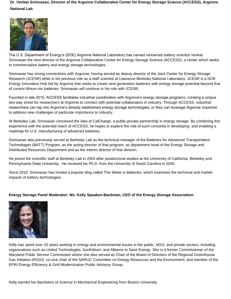**Dr. Venkat Srinivasan, Director of the Argonne Collaborative Center for Energy Storage Science (ACCESS), Argonne National Lab**



The U.S. Department of Energy's (DOE) Argonne National Laboratory has named renowned battery scientist Venkat Srinivasan the next director of the Argonne Collaborative Center for Energy Storage Science (ACCESS), a center which seeks to commercialize battery and energy storage technologies.

Srinivasan has strong connections with Argonne, having served as deputy director of the Joint Center for Energy Storage Research (JCESR) while in his previous role as a staff scientist at Lawrence Berkeley National Laboratory. JCESR is a DOE Energy Innovation Hub led by Argonne that seeks to create next-generation batteries with energy storage potential beyond that of current lithium-ion batteries. Srinivasan will continue in his role with JCESR.

Founded in late 2015, ACCESS facilitates industrial coordination with Argonne's energy storage programs, creating a unique two-way street for researchers at Argonne to connect with potential collaborators in industry. Through ACCESS, industrial researchers can tap into Argonne's already established energy storage technologies, or they can leverage Argonne expertise to address new challenges of particular importance to industry.

At Berkeley Lab, Srinivasan conceived the idea of CalCharge, a public-private partnership in energy storage. By combining this experience with the potential reach of ACCESS, he hopes to explore the role of such consortia in developing and enabling a roadmap for U.S. manufacturing of advanced batteries.

Srinivasan also previously served at Berkeley Lab as the technical manager of the Batteries for Advanced Transportation Technologies (BATT) Program, as the acting director of that program, as department head of the Energy Storage and Distributed Resources Department and as the interim director of that division.

He joined the scientific staff at Berkeley Lab in 2003 after postdoctoral studies at the University of California, Berkeley and Pennsylvania State University. He received his Ph.D. from the University of South Carolina in 2000.

Since 2010, Srinivasan has hosted a popular blog called This Week in Batteries, which examines the technical and market impacts of battery technologies.

# **Energy Storage Panel Moderator: Ms. Kelly Speakes-Backman, CEO of the Energy Storage Association.**



Kelly has spent over 20 years working in energy and environmental issues in the public, NGO, and private sectors, including organizations such as United Technologies, SunEdison, and Alliance to Save Energy. She is a former Commissioner of the Maryland Public Service Commission where she also served as Chair of the Board of Directors of the Regional Greenhouse Gas Initiative (RGGI), co-vice chair of the NARUC Committee on Energy Resources and the Environment, and member of the EPRI Energy Efficiency & Grid Modernization Public Advisory Group.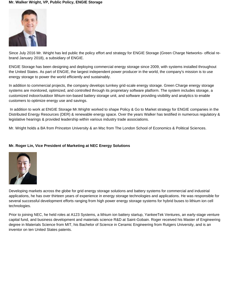#### **Mr. Walker Wright, VP, Public Policy, ENGIE Storage**



Since July 2016 Mr. Wright has led public the policy effort and strategy for ENGIE Storage (Green Charge Networks- official rebrand January 2018), a subsidiary of ENGIE.

ENGIE Storage has been designing and deploying commercial energy storage since 2009, with systems installed throughout the United States. As part of ENGIE, the largest independent power producer in the world, the company's mission is to use energy storage to power the world efficiently and sustainably.

In addition to commercial projects, the company develops turnkey grid-scale energy storage. Green Charge energy storage systems are monitored, optimized, and controlled through its proprietary software platform. The system includes storage, a customized indoor/outdoor lithium-ion-based battery storage unit, and software providing visibility and analytics to enable customers to optimize energy use and savings.

In addition to work at ENGIE Storage Mr.Wrightr worked to shape Policy & Go to Market strategy for ENGIE companies in the Distributed Energy Resources (DER) & renewable energy space. Over the years Walker has testified in numerous regulatory & legislative hearings & provided leadership within various industry trade associations.

Mr. Wright holds a BA from Princeton University & an Msc from The London School of Economics & Political Sciences.

# **Mr. Roger Lin, Vice President of Marketing at NEC Energy Solutions**



Developing markets across the globe for grid energy storage solutions and battery systems for commercial and industrial applications, he has over thirteen years of experience in energy storage technologies and applications. He was responsible for several successful development efforts ranging from high power energy storage systems for hybrid buses to lithium ion cell technologies.

Prior to joining NEC, he held roles at A123 Systems, a lithium ion battery startup, YankeeTek Ventures, an early-stage venture capital fund, and business development and materials science R&D at Saint-Gobain. Roger received his Master of Engineering degree in Materials Science from MIT, his Bachelor of Science in Ceramic Engineering from Rutgers University, and is an inventor on ten United States patents.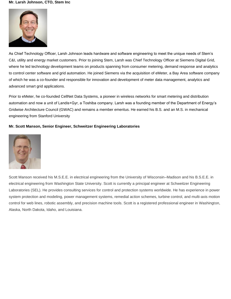#### **Mr. Larsh Johnson, CTO, Stem Inc**



As Chief Technology Officer, Larsh Johnson leads hardware and software engineering to meet the unique needs of Stem's C&I, utility and energy market customers. Prior to joining Stem, Larsh was Chief Technology Officer at Siemens Digital Grid, where he led technology development teams on products spanning from consumer metering, demand response and analytics to control center software and grid automation. He joined Siemens via the acquisition of eMeter, a Bay Area software company of which he was a co-founder and responsible for innovation and development of meter data management, analytics and advanced smart grid applications.

Prior to eMeter, he co-founded CellNet Data Systems, a pioneer in wireless networks for smart metering and distribution automation and now a unit of Landis+Gyr, a Toshiba company. Larsh was a founding member of the Department of Energy's Gridwise Architecture Council (GWAC) and remains a member emeritus. He earned his B.S. and an M.S. in mechanical engineering from Stanford University

# **Mr. Scott Manson, Senior Engineer, Schweitzer Engineering Laboratories**



Scott Manson received his M.S.E.E. in electrical engineering from the University of Wisconsin–Madison and his B.S.E.E. in electrical engineering from Washington State University. Scott is currently a principal engineer at Schweitzer Engineering Laboratories (SEL). He provides consulting services for control and protection systems worldwide. He has experience in power system protection and modeling, power management systems, remedial action schemes, turbine control, and multi-axis motion control for web lines, robotic assembly, and precision machine tools. Scott is a registered professional engineer in Washington, Alaska, North Dakota, Idaho, and Louisiana.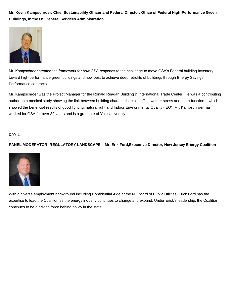**Mr. Kevin Kampschroer, Chief Sustainability Officer and Federal Director, Office of Federal High-Performance Green Buildings, in the US General Services Administration**



Mr. Kampschroer created the framework for how GSA responds to the challenge to move GSA's Federal building inventory toward high-performance green buildings and how best to achieve deep retrofits of buildings through Energy Savings Performance contracts.

Mr. Kampschroer was the Project Manager for the Ronald Reagan Building & International Trade Center. He was a contributing author on a medical study showing the link between building characteristics on office worker stress and heart function – which showed the beneficial results of good lighting, natural light and Indoor Environmental Quality (IEQ). Mr. Kampschroer has worked for GSA for over 39 years and is a graduate of Yale University.

#### DAY 2:

# **PANEL MODERATOR: REGULATORY LANDSCAPE – Mr. Erik Ford,Executive Director, New Jersey Energy Coalition**



With a diverse employment background including Confidential Aide at the NJ Board of Public Utilities, Erick Ford has the expertise to lead the Coalition as the energy industry continues to change and expand. Under Erick's leadership, the Coalition continues to be a driving force behind policy in the state.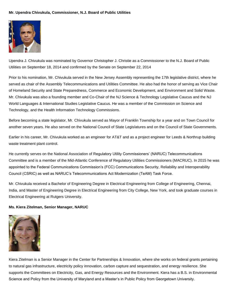# **Mr. Upendra Chivukula, Commissioner, N.J. Board of Public Utilities**



Upendra J. Chivukula was nominated by Governor Christopher J. Christie as a Commissioner to the N.J. Board of Public Utilities on September 18, 2014 and confirmed by the Senate on September 22, 2014

Prior to his nomination, Mr. Chivukula served in the New Jersey Assembly representing the 17th legislative district, where he served as chair of the Assembly Telecommunications and Utilities Committee. He also had the honor of serving as Vice Chair of Homeland Security and State Preparedness, Commerce and Economic Development, and Environment and Solid Waste. Mr. Chivukula was also a founding member and Co-Chair of the NJ Science & Technology Legislative Caucus and the NJ World Languages & International Studies Legislative Caucus. He was a member of the Commission on Science and Technology, and the Health Information Technology Commissions.

Before becoming a state legislator, Mr. Chivukula served as Mayor of Franklin Township for a year and on Town Council for another seven years. He also served on the National Council of State Legislatures and on the Council of State Governments.

Earlier in his career, Mr. Chivukula worked as an engineer for AT&T and as a project engineer for Leeds & Northrup building waste treatment plant control.

He currently serves on the National Association of Regulatory Utility Commissioners' (NARUC) Telecommunications Committee and is a member of the Mid-Atlantic Conference of Regulatory Utilities Commissioners (MACRUC). In 2015 he was appointed to the Federal Communications Commission's (FCC) Communications Security, Reliability and Interoperability Council (CSRIC) as well as NARUC's Telecommunications Act Modernization (TeAM) Task Force.

Mr. Chivukula received a Bachelor of Engineering Degree in Electrical Engineering from College of Engineering, Chennai, India, and Master of Engineering Degree in Electrical Engineering from City College, New York, and took graduate courses in Electrical Engineering at Rutgers University.

#### **Ms. Kiera Zitelman, Senior Manager, NARUC**



Kiera Zitelman is a Senior Manager in the Center for Partnerships & Innovation, where she works on federal grants pertaining to natural gas infrastructure, electricity policy innovation, carbon capture and sequestration, and energy resilience. She supports the Committees on Electricity, Gas, and Energy Resources and the Environment. Kiera has a B.S. in Environmental Science and Policy from the University of Maryland and a Master's in Public Policy from Georgetown University.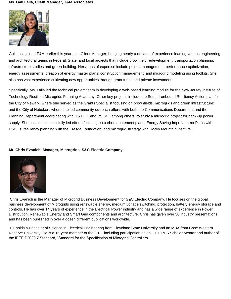#### **Ms. Gail Lalla, Client Manager, T&M Associates**



Gail Lalla joined T&M earlier this year as a Client Manager, bringing nearly a decade of experience leading various engineering and architectural teams in Federal, State, and local projects that include brownfield redevelopment, transportation planning, infrastructure studies and green-building. Her areas of expertise include project management, performance optimization, energy assessments, creation of energy master plans, construction management, and microgrid modeling using toolkits. She also has vast experience cultivating new opportunities through grant funds and private investment.

Specifically, Ms. Lalla led the technical project team in developing a web-based learning module for the New Jersey Institute of Technology Resilient Microgrids Planning Academy. Other key projects include the South Ironbound Resiliency Action plan for the City of Newark, where she served as the Grants Specialist focusing on brownfields, microgrids and green infrastructure; and the City of Hoboken, where she led community outreach efforts with both the Communications Department and the Planning Department coordinating with US DOE and PSE&G among others, to study a microgrid project for back-up power supply. She has also successfully led efforts focusing on carbon abatement plans, Energy Saving Improvement Plans with ESCOs, resiliency planning with the Kresge Foundation, and microgrid strategy with Rocky Mountain Institute.

# **Mr. Chris Evanich, Manager, Microgrids, S&C Electric Company**



Chris Evanich is the Manager of Microgrid Business Development for S&C Electric Company. He focuses on the global business development of Microgrids using renewable energy, medium voltage switching, protection, battery energy storage and controls. He has over 14 years of experience in the Electrical Power industry and has a wide range of experience in Power Distribution, Renewable Energy and Smart Grid components and architecture. Chris has given over 50 industry presentations and has been published in over a dozen different publications worldwide.

He holds a Bachelor of Science in Electrical Engineering from Cleveland State University and an MBA from Case Western Reserve University. He is a 16-year member of the IEEE including participation as an IEEE PES Scholar Mentor and author of the IEEE P2030.7 Standard, "Standard for the Specification of Microgrid Controllers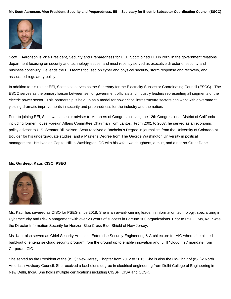

Scott I. Aaronson is Vice President, Security and Preparedness for EEI. Scott joined EEI in 2009 in the government relations department focusing on security and technology issues, and most recently served as executive director of security and business continuity. He leads the EEI teams focused on cyber and physical security, storm response and recovery, and associated regulatory policy.

In addition to his role at EEI, Scott also serves as the Secretary for the Electricity Subsector Coordinating Council (ESCC). The ESCC serves as the primary liaison between senior government officials and industry leaders representing all segments of the electric power sector. This partnership is held up as a model for how critical infrastructure sectors can work with government, yielding dramatic improvements in security and preparedness for the industry and the nation.

Prior to joining EEI, Scott was a senior adviser to Members of Congress serving the 12th Congressional District of California, including former House Foreign Affairs Committee Chairman Tom Lantos. From 2001 to 2007, he served as an economic policy adviser to U.S. Senator Bill Nelson. Scott received a Bachelor's Degree in journalism from the University of Colorado at Boulder for his undergraduate studies, and a Master's Degree from The George Washington University in political management. He lives on Capitol Hill in Washington, DC with his wife, two daughters, a mutt, and a not-so-Great Dane.

#### **Ms. Gurdeep, Kaur, CISO, PSEG**



Ms. Kaur has severed as CISO for PSEG since 2018. She is an award-winning leader in information technology, specializing in Cybersecurity and Risk Management with over 20 years of success in Fortune 100 organizations. Prior to PSEG, Ms, Kaur was the Director Information Security for Horizon Blue Cross Blue Shield of New Jersey.

Ms. Kaur also served as Chief Security Architect, Enterprise Security Engineering & Architecture for AIG where she piloted build-out of enterprise cloud security program from the ground up to enable innovation and fulfill "cloud first" mandate from Corporate CIO.

She served as the President of the (ISC)² New Jersey Chapter from 2012 to 2015. She is also the Co-Chair of (ISC)2 North American Advisory Council. She received a bachelor's degree in electrical engineering from Delhi College of Engineering in New Delhi, India. She holds multiple certifications including CISSP, CISA and CCSK.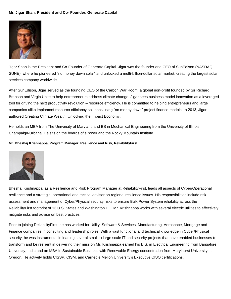#### **Mr. Jigar Shah, President and Co- Founder, Generate Capital**



Jigar Shah is the President and Co-Founder of Generate Capital. Jigar was the founder and CEO of SunEdison (NASDAQ: SUNE), where he pioneered "no money down solar" and unlocked a multi-billion-dollar solar market, creating the largest solar services company worldwide.

After SunEdison, Jigar served as the founding CEO of the Carbon War Room, a global non-profit founded by Sir Richard Branson and Virgin Unite to help entrepreneurs address climate change. Jigar sees business model innovation as a leveraged tool for driving the next productivity revolution – resource efficiency. He is committed to helping entrepreneurs and large companies alike implement resource efficiency solutions using "no money down" project finance models. In 2013, Jigar authored Creating Climate Wealth: Unlocking the Impact Economy.

He holds an MBA from The University of Maryland and BS in Mechanical Engineering from the University of Illinois, Champaign-Urbana. He sits on the boards of sPower and the Rocky Mountain Institute.

#### **Mr. Bheshaj Krishnappa, Program Manager, Resilience and Risk, ReliabilityFirst**



Bheshaj Krishnappa, as a Resilience and Risk Program Manager at ReliabilityFirst, leads all aspects of Cyber/Operational resilience and a strategic, operational and tactical advisor on regional resilience issues. His responsibilities include risk assessment and management of Cyber/Physical security risks to ensure Bulk Power System reliability across the ReliabilityFirst footprint of 13 U.S. States and Washington D.C.Mr. Krishnappa works with several electric utilities to effectively mitigate risks and advise on best practices.

Prior to joining ReliabilityFirst, he has worked for Utility, Software & Services, Manufacturing, Aerospace, Mortgage and Finance companies in consulting and leadership roles. With a vast functional and technical knowledge in Cyber/Physical security, he was instrumental in leading several small to large scale IT and security projects that have enabled businesses to transform and be resilient in delivering their mission.Mr. Krishnappa earned his B.S. in Electrical Engineering from Bangalore University, India and an MBA in Sustainable Business with Renewable Energy concentration from Marylhurst University in Oregon. He actively holds CISSP, CISM, and Carnegie Mellon University's Executive CISO certifications.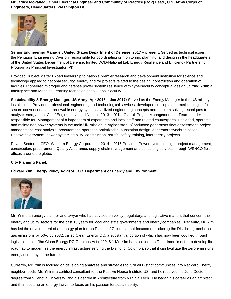**Mr. Bruce Movahedi, Chief Electrical Engineer and Community of Practice (CoP) Lead , U.S. Army Corps of Engineers, Headquarters, Washington DC**



**Senior Engineering Manager, United States Department of Defense, 2017 – present**: Served as technical expert in the Pentagon Engineering Division, responsible for coordinating or monitoring, planning, and design in the headquarters of the United States Department of Defense. Ignited DOD-National Lab Energy Resilience and Efficiency Partnership Program as Principal Investigator (PI).

Provided Subject Matter Expert leadership to nation's premier research and development institution for science and technology applied to national security, energy and for projects related to the design, construction and operation of facilities. Pioneered microgrid and defense power system resilience with cybersecurity conceptual design utilizing Artificial Intelligence and Machine Learning technologies to Global Security.

**Sustainability & Energy Manager, US Army, Apr 2016 – Jan 2017:** Served as the Energy Manager in the US military installations. Provided professional engineering and technological services, developed concepts and methodologies for secure conventional and renewable energy systems. Utilized engineering concepts and problem solving techniques to analyze energy data. Chief Engineer, United Nations 2013 – 2014: Overall Project Management: as Team Leader responsible for: Management of a large team of expatriates and local staff and related counterparts; Designed, operated and maintained power systems in the main UN mission in Afghanistan. •Conducted generators fleet assessment, project management, cost analysis, procurement, operation optimization, substation design, generators synchronization, Photovoltaic system, power system stability, construction, retrofit, safety training, interagency projects.

Private Sector as CEO, Western Energy Corporation: 2014 – 2016:Provided Power system design, project management, construction, procurement, Quality Assurance, supply chain management and consulting services through WENCO field offices around the globe.

# **City Planning Panel:**

**Edward Yim, Energy Policy Advisor, D.C. Department of Energy and Environment**



Mr. Yim is an energy planner and lawyer who has advised on policy, regulatory, and legislative matters that concern the energy and utility sectors for the past 10 years for local and state governments and energy companies. Recently, Mr. Yim has led the development of an energy plan for the District of Columbia that focused on reducing the District's greenhouse gas emissions by 50% by 2032, called Clean Energy DC, a substantial portion of which has now been codified through legislation titled "the Clean Energy DC Omnibus Act of 2018." Mr. Yim has also led the Department's effort to develop its roadmap to modernize the energy infrastructure serving the District of Columbia so that it can facilitate the zero emissions energy economy in the future.

Currently, Mr. Yim is focused on developing analyses and strategies to turn all District communities into Net Zero Energy neighborhoods. Mr. Yim is a certified consultant for the Passive House Institute US, and he received his Juris Doctor degree from Villanova University, and his degree in Architecture from Virginia Tech. He began his career as an architect, and then became an energy lawyer to focus on his passion for sustainability.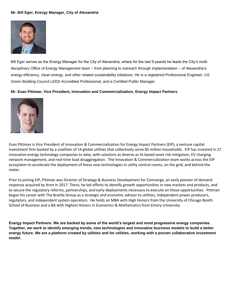#### **Mr. Bill Eger, Energy Manager, City of Alexandria**



Bill Eger serves as the Energy Manager for the City of Alexandria, where for the last 9 yeards he leads the City's multidisciplinary Office of Energy Management team – from planning to outreach through implementation – of Alexandria's energy efficiency, clean energy, and other related sustainability initiatives. He is a registered Professional Engineer, US Green Building Council LEED Accredited Professional, and a Certified Public Manager.

#### **Mr. Evan Pittman, Vice President, Innovation and Commercialization, Energy Impact Partners**



Evan Pittman is Vice President of Innovation & Commercialization for Energy Impact Partners (EIP), a venture capital investment firm backed by a coalition of 14 global utilities that collectively serve 85 million households. EIP has invested in 27 innovative energy technology companies to date, with solutions as diverse as AI-based asset risk mitigation, EV charging network management, and real-time load disaggregation. The Innovation & Commercialization team works across the EIP ecosystem to accelerate the deployment of these new technologies in utility control rooms, on the grid, and behind the meter.

Prior to joining EIP, Pittman was Director of Strategy & Business Development for Comverge, an early pioneer of demand response acquired by Itron in 2017. There, he led efforts to identify growth opportunities in new markets and products, and to secure the regulatory reforms, partnerships, and early deployments necessary to execute on those opportunities. Pittman began his career with The Brattle Group as a strategic and economic advisor to utilities, independent power producers, regulators, and independent system operators. He holds an MBA with High Honors from the University of Chicago Booth School of Business and a BA with Highest Honors in Economics & Mathematics from Emory University.

**Energy Impact Partners: We are backed by some of the world's largest and most progressive energy companies. Together, we work to identify emerging trends, new technologies and innovative business models to build a better energy future. We are a platform created by utilities and for utilities, working with a proven collaborative investment model.**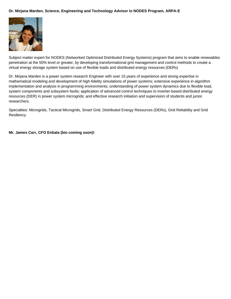# **Dr. Mirjana Marden, Science, Engineering and Technology Advisor in NODES Program, ARPA-E**



Subject matter expert for NODES (Networked Optimized Distributed Energy Systems) program that aims to enable renewables penetration at the 50% level or greater, by developing transformational grid management and control methods to create a virtual energy storage system based on use of flexible loads and distributed energy resources (DERs)

Dr. Mirjana Marden is a power system research Engineer with over 15 years of experience and strong expertise in mathematical modeling and development of high-fidelity simulations of power systems; extensive experience in algorithm implementation and analysis in programming environments; understanding of power system dynamics due to flexible load, system components and subsystem faults; application of advanced control techniques to inverter-based distributed energy resources (DER) in power system microgrids; and effective research initiation and supervision of students and junior researchers.

Specialties: Microgrids, Tactical Microgrids, Smart Grid, Distributed Energy Resources (DERs), Grid Reliability and Grid **Resiliency** 

**Mr. James Carr, CFO Enbala (bio coming soon)\**